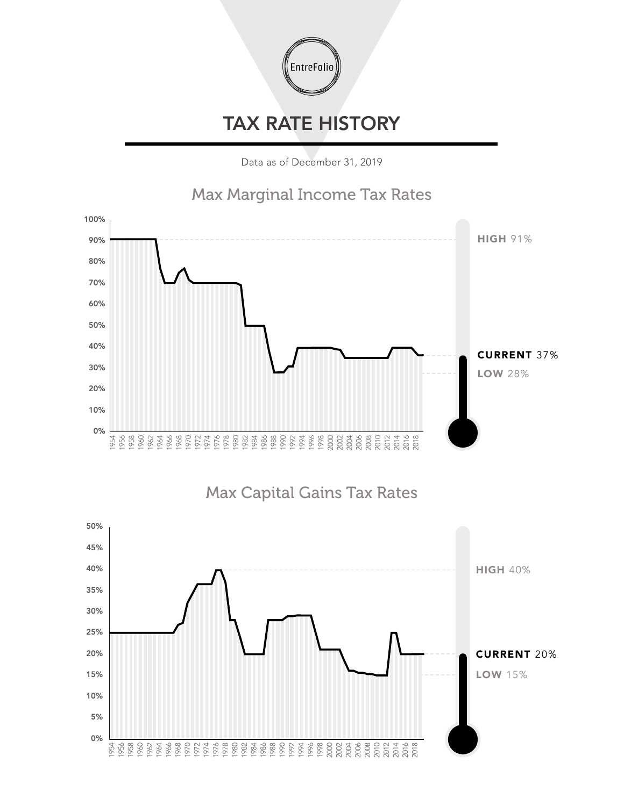

## TAX RATE HISTORY

Data as of December 31, 2019